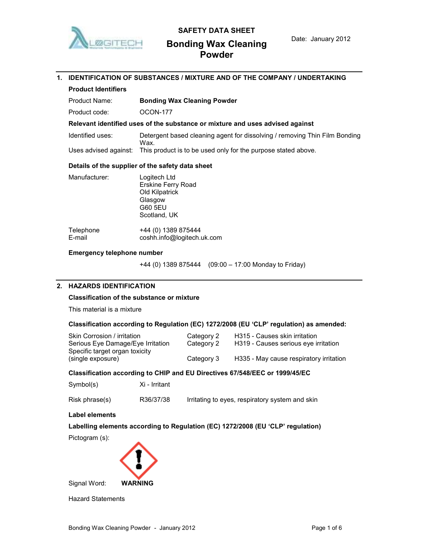

# SAFETY DATA SHEET

# Bonding Wax Cleaning Powder

# 1. IDENTIFICATION OF SUBSTANCES / MIXTURE AND OF THE COMPANY / UNDERTAKING Product Identifiers Product Name: **Bonding Wax Cleaning Powder** Product code: 0CON-177 Relevant identified uses of the substance or mixture and uses advised against Identified uses: Detergent based cleaning agent for dissolving / removing Thin Film Bonding Wax. Uses advised against: This product is to be used only for the purpose stated above. Details of the supplier of the safety data sheet Manufacturer: Logitech Ltd Erskine Ferry Road Old Kilpatrick Glasgow G60 5EU Scotland, UK Telephone +44 (0) 1389 875444 E-mail coshh.info@logitech.uk.com

## Emergency telephone number

+44 (0) 1389 875444 (09:00 – 17:00 Monday to Friday)

## 2. HAZARDS IDENTIFICATION

#### Classification of the substance or mixture

This material is a mixture

## Classification according to Regulation (EC) 1272/2008 (EU 'CLP' regulation) as amended:

| Skin Corrosion / irritation       | Category 2 | H315 - Causes skin irritation           |
|-----------------------------------|------------|-----------------------------------------|
| Serious Eye Damage/Eye Irritation | Category 2 | H319 - Causes serious eve irritation    |
| Specific target organ toxicity    |            |                                         |
| (single exposure)                 | Category 3 | H335 - May cause respiratory irritation |
|                                   |            |                                         |

## Classification according to CHIP and EU Directives 67/548/EEC or 1999/45/EC

| Symbol(s) | Xi - Irritant |
|-----------|---------------|
|-----------|---------------|

Risk phrase(s) R36/37/38 Irritating to eyes, respiratory system and skin

## Label elements

Labelling elements according to Regulation (EC) 1272/2008 (EU 'CLP' regulation)

Pictogram (s):



Hazard Statements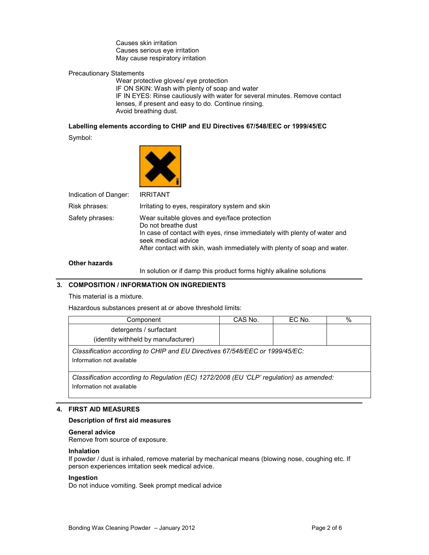Causes skin irritation Causes serious eye irritation May cause respiratory irritation

## Precautionary Statements

Wear protective gloves/ eye protection IF ON SKIN: Wash with plenty of soap and water IF IN EYES: Rinse cautiously with water for several minutes. Remove contact lenses, if present and easy to do. Continue rinsing. Avoid breathing dust.

## Labelling elements according to CHIP and EU Directives 67/548/EEC or 1999/45/EC

Symbol:



Indication of Danger: IRRITANT

Risk phrases: Irritating to eyes, respiratory system and skin Safety phrases: Wear suitable gloves and eye/face protection Do not breathe dust In case of contact with eyes, rinse immediately with plenty of water and seek medical advice After contact with skin, wash immediately with plenty of soap and water.

## Other hazards

In solution or if damp this product forms highly alkaline solutions

## 3. COMPOSITION / INFORMATION ON INGREDIENTS

This material is a mixture.

Hazardous substances present at or above threshold limits:

| Component                                                                                                            | CAS No. | EC No. | $\%$ |
|----------------------------------------------------------------------------------------------------------------------|---------|--------|------|
| detergents / surfactant<br>(identity withheld by manufacturer)                                                       |         |        |      |
| Classification according to CHIP and EU Directives 67/548/EEC or 1999/45/EC:<br>Information not available            |         |        |      |
| Classification according to Regulation (EC) 1272/2008 (EU 'CLP' regulation) as amended:<br>Information not available |         |        |      |

## 4. FIRST AID MEASURES

### Description of first aid measures

#### General advice

Remove from source of exposure.

#### Inhalation

If powder / dust is inhaled, remove material by mechanical means (blowing nose, coughing etc. If person experiences irritation seek medical advice.

## Ingestion

Do not induce vomiting. Seek prompt medical advice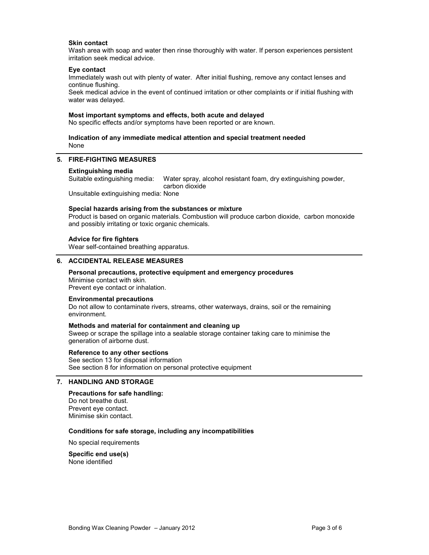### Skin contact

Wash area with soap and water then rinse thoroughly with water. If person experiences persistent irritation seek medical advice.

## Eye contact

Immediately wash out with plenty of water. After initial flushing, remove any contact lenses and continue flushing.

Seek medical advice in the event of continued irritation or other complaints or if initial flushing with water was delayed.

## Most important symptoms and effects, both acute and delayed

No specific effects and/or symptoms have been reported or are known.

## Indication of any immediate medical attention and special treatment needed None

## 5. FIRE-FIGHTING MEASURES

#### Extinguishing media

Suitable extinguishing media: Water spray, alcohol resistant foam, dry extinguishing powder, carbon dioxide

Unsuitable extinguishing media: None

#### Special hazards arising from the substances or mixture

Product is based on organic materials. Combustion will produce carbon dioxide, carbon monoxide and possibly irritating or toxic organic chemicals.

#### Advice for fire fighters

Wear self-contained breathing apparatus.

#### 6. ACCIDENTAL RELEASE MEASURES

# Personal precautions, protective equipment and emergency procedures Minimise contact with skin.

Prevent eye contact or inhalation.

### Environmental precautions

Do not allow to contaminate rivers, streams, other waterways, drains, soil or the remaining environment.

#### Methods and material for containment and cleaning up

Sweep or scrape the spillage into a sealable storage container taking care to minimise the generation of airborne dust.

#### Reference to any other sections

See section 13 for disposal information See section 8 for information on personal protective equipment

## 7. HANDLING AND STORAGE

## Precautions for safe handling:

Do not breathe dust. Prevent eye contact. Minimise skin contact.

## Conditions for safe storage, including any incompatibilities

No special requirements

Specific end use(s) None identified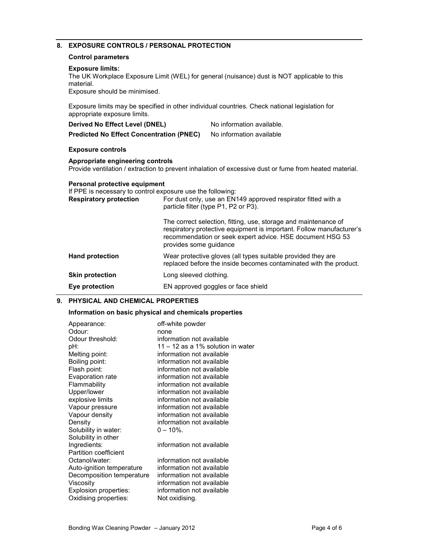# 8. EXPOSURE CONTROLS / PERSONAL PROTECTION

## Control parameters

### Exposure limits:

The UK Workplace Exposure Limit (WEL) for general (nuisance) dust is NOT applicable to this material.

Exposure should be minimised.

Exposure limits may be specified in other individual countries. Check national legislation for appropriate exposure limits.

| Derived No Effect Level (DNEL)                                                                                               |                        | No information available.                                                                                                                                                                            |
|------------------------------------------------------------------------------------------------------------------------------|------------------------|------------------------------------------------------------------------------------------------------------------------------------------------------------------------------------------------------|
| <b>Predicted No Effect Concentration (PNEC)</b>                                                                              |                        | No information available                                                                                                                                                                             |
| <b>Exposure controls</b>                                                                                                     |                        |                                                                                                                                                                                                      |
| Appropriate engineering controls                                                                                             |                        | Provide ventilation / extraction to prevent inhalation of excessive dust or fume from heated material.                                                                                               |
| Personal protective equipment<br>If PPE is necessary to control exposure use the following:<br><b>Respiratory protection</b> |                        | For dust only, use an EN149 approved respirator fitted with a<br>particle filter (type P1, P2 or P3).                                                                                                |
|                                                                                                                              | provides some guidance | The correct selection, fitting, use, storage and maintenance of<br>respiratory protective equipment is important. Follow manufacturer's<br>recommendation or seek expert advice. HSE document HSG 53 |
| <b>Hand protection</b>                                                                                                       |                        | Wear protective gloves (all types suitable provided they are<br>replaced before the inside becomes contaminated with the product.                                                                    |
| <b>Skin protection</b>                                                                                                       | Long sleeved clothing. |                                                                                                                                                                                                      |
| Eye protection                                                                                                               |                        | EN approved goggles or face shield                                                                                                                                                                   |
|                                                                                                                              |                        |                                                                                                                                                                                                      |

## 9. PHYSICAL AND CHEMICAL PROPERTIES

## Information on basic physical and chemicals properties

| Appearance:                  | off-white powder                  |
|------------------------------|-----------------------------------|
| Odour:                       | none                              |
| Odour threshold:             | information not available         |
| pH:                          | 11 – 12 as a 1% solution in water |
| Melting point:               | information not available         |
| Boiling point:               | information not available         |
| Flash point:                 | information not available         |
| Evaporation rate             | information not available         |
| Flammability                 | information not available         |
| Upper/lower                  | information not available         |
| explosive limits             | information not available         |
| Vapour pressure              | information not available         |
| Vapour density               | information not available         |
| Density                      | information not available         |
| Solubility in water:         | $0 - 10\%$ .                      |
| Solubility in other          |                                   |
| Ingredients:                 | information not available         |
| <b>Partition coefficient</b> |                                   |
| Octanol/water:               | information not available         |
| Auto-ignition temperature    | information not available         |
| Decomposition temperature    | information not available         |
| Viscosity                    | information not available         |
| Explosion properties:        | information not available         |
| Oxidising properties:        | Not oxidising.                    |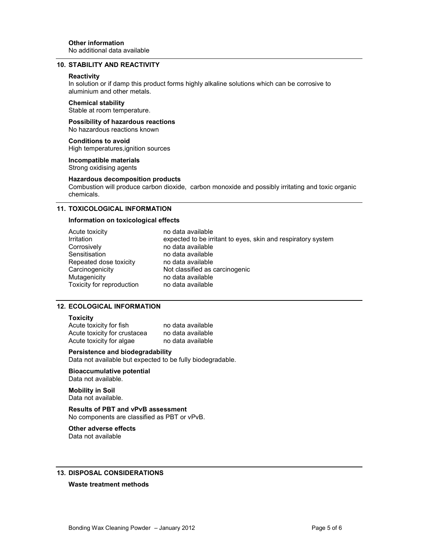### 10. STABILITY AND REACTIVITY

#### **Reactivity**

In solution or if damp this product forms highly alkaline solutions which can be corrosive to aluminium and other metals.

### Chemical stability

Stable at room temperature.

Possibility of hazardous reactions No hazardous reactions known

Conditions to avoid High temperatures,ignition sources

Incompatible materials Strong oxidising agents

### Hazardous decomposition products

Combustion will produce carbon dioxide, carbon monoxide and possibly irritating and toxic organic chemicals.

## 11. TOXICOLOGICAL INFORMATION

### Information on toxicological effects

| Acute toxicity            |
|---------------------------|
| Irritation                |
| Corrosively               |
| Sensitisation             |
| Repeated dose toxicity    |
| Carcinogenicity           |
| Mutagenicity              |
| Toxicity for reproduction |

no data available expected to be irritant to eyes, skin and respiratory system no data available no data available no data available Not classified as carcinogenic no data available no data available

## 12. ECOLOGICAL INFORMATION

### **Toxicity**

Acute toxicity for fish no data available Acute toxicity for crustacea no data available Acute toxicity for algae no data available

### Persistence and biodegradability

Data not available but expected to be fully biodegradable.

Bioaccumulative potential Data not available.

Mobility in Soil Data not available.

Results of PBT and vPvB assessment No components are classified as PBT or vPvB.

# Other adverse effects

Data not available

## 13. DISPOSAL CONSIDERATIONS

#### Waste treatment methods